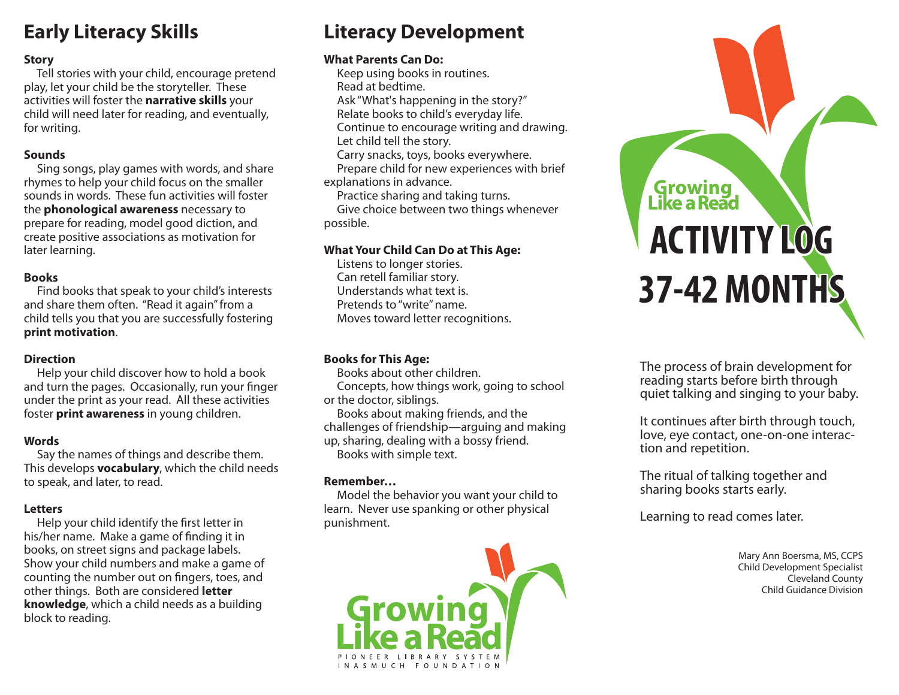## **Early Literacy Skills**

## **Story**

 Tell stories with your child, encourage pretend play, let your child be the storyteller. These activities will foster the **narrative skills** your child will need later for reading, and eventually, for writing.

#### **Sounds**

 Sing songs, play games with words, and share rhymes to help your child focus on the smaller sounds in words. These fun activities will foster the **phonological awareness** necessary to prepare for reading, model good diction, and create positive associations as motivation for later learning.

## **Books**

 Find books that speak to your child's interests and share them often. "Read it again" from a child tells you that you are successfully fostering **print motivation**.

## **Direction**

 Help your child discover how to hold a book and turn the pages. Occasionally, run your finger under the print as your read. All these activities foster **print awareness** in young children.

## **Words**

 Say the names of things and describe them. This develops **vocabulary**, which the child needs to speak, and later, to read.

## **Letters**

Help your child identify the first letter in his/her name. Make a game of finding it in books, on street signs and package labels. Show your child numbers and make a game of counting the number out on fingers, toes, and other things. Both are considered **letter knowledge**, which a child needs as a building block to reading.

## **Literacy Development**

## **What Parents Can Do:**

 Keep using books in routines. Read at bedtime. Ask "What's happening in the story?" Relate books to child's everyday life. Continue to encourage writing and drawing. Let child tell the story. Carry snacks, toys, books everywhere. Prepare child for new experiences with brief explanations in advance.

Practice sharing and taking turns.

 Give choice between two things whenever possible.

## **What Your Child Can Do at This Age:**

 Listens to longer stories. Can retell familiar story. Understands what text is. Pretends to "write" name. Moves toward letter recognitions.

## **Books for This Age:**

 Books about other children. Concepts, how things work, going to school or the doctor, siblings.

 Books about making friends, and the challenges of friendship—arguing and making up, sharing, dealing with a bossy friend. Books with simple text.

## **Remember…**

 Model the behavior you want your child to learn. Never use spanking or other physical punishment.



# **Growing**<br>Like a Read **ACTIVITY LOG 37-42 MONTHS**

The process of brain development for reading starts before birth through quiet talking and singing to your baby.

It continues after birth through touch, love, eye contact, one-on-one interaction and repetition.

The ritual of talking together and sharing books starts early.

Learning to read comes later.

Mary Ann Boersma, MS, CCPS Child Development Specialist Cleveland County Child Guidance Division